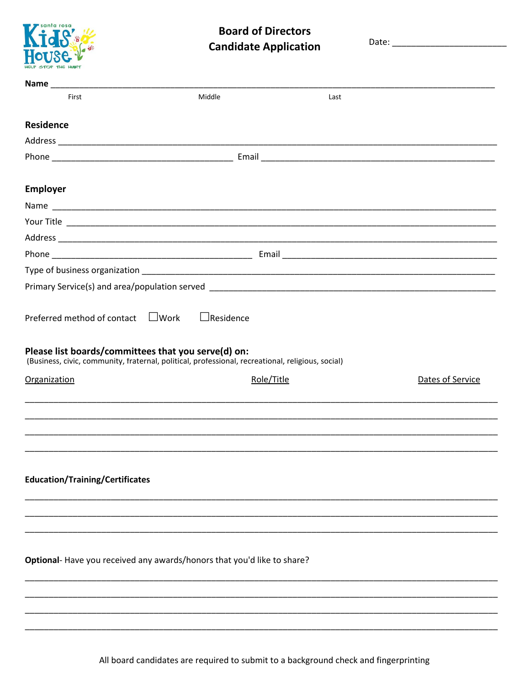

## **Board of Directors Candidate Application**

| First                                                                                                                                                                                               | Middle           | Last       |                  |
|-----------------------------------------------------------------------------------------------------------------------------------------------------------------------------------------------------|------------------|------------|------------------|
| <b>Residence</b>                                                                                                                                                                                    |                  |            |                  |
|                                                                                                                                                                                                     |                  |            |                  |
|                                                                                                                                                                                                     |                  |            |                  |
|                                                                                                                                                                                                     |                  |            |                  |
| <b>Employer</b>                                                                                                                                                                                     |                  |            |                  |
|                                                                                                                                                                                                     |                  |            |                  |
|                                                                                                                                                                                                     |                  |            |                  |
|                                                                                                                                                                                                     |                  |            |                  |
|                                                                                                                                                                                                     |                  |            |                  |
|                                                                                                                                                                                                     |                  |            |                  |
|                                                                                                                                                                                                     |                  |            |                  |
| Preferred method of contact $\Box$ Work<br>Please list boards/committees that you serve(d) on:<br>(Business, civic, community, fraternal, political, professional, recreational, religious, social) | $\Box$ Residence |            |                  |
| <b>Organization</b>                                                                                                                                                                                 |                  | Role/Title | Dates of Service |
|                                                                                                                                                                                                     |                  |            |                  |
|                                                                                                                                                                                                     |                  |            |                  |
| <b>Education/Training/Certificates</b>                                                                                                                                                              |                  |            |                  |
|                                                                                                                                                                                                     |                  |            |                  |
| Optional- Have you received any awards/honors that you'd like to share?                                                                                                                             |                  |            |                  |

All board candidates are required to submit to a background check and fingerprinting